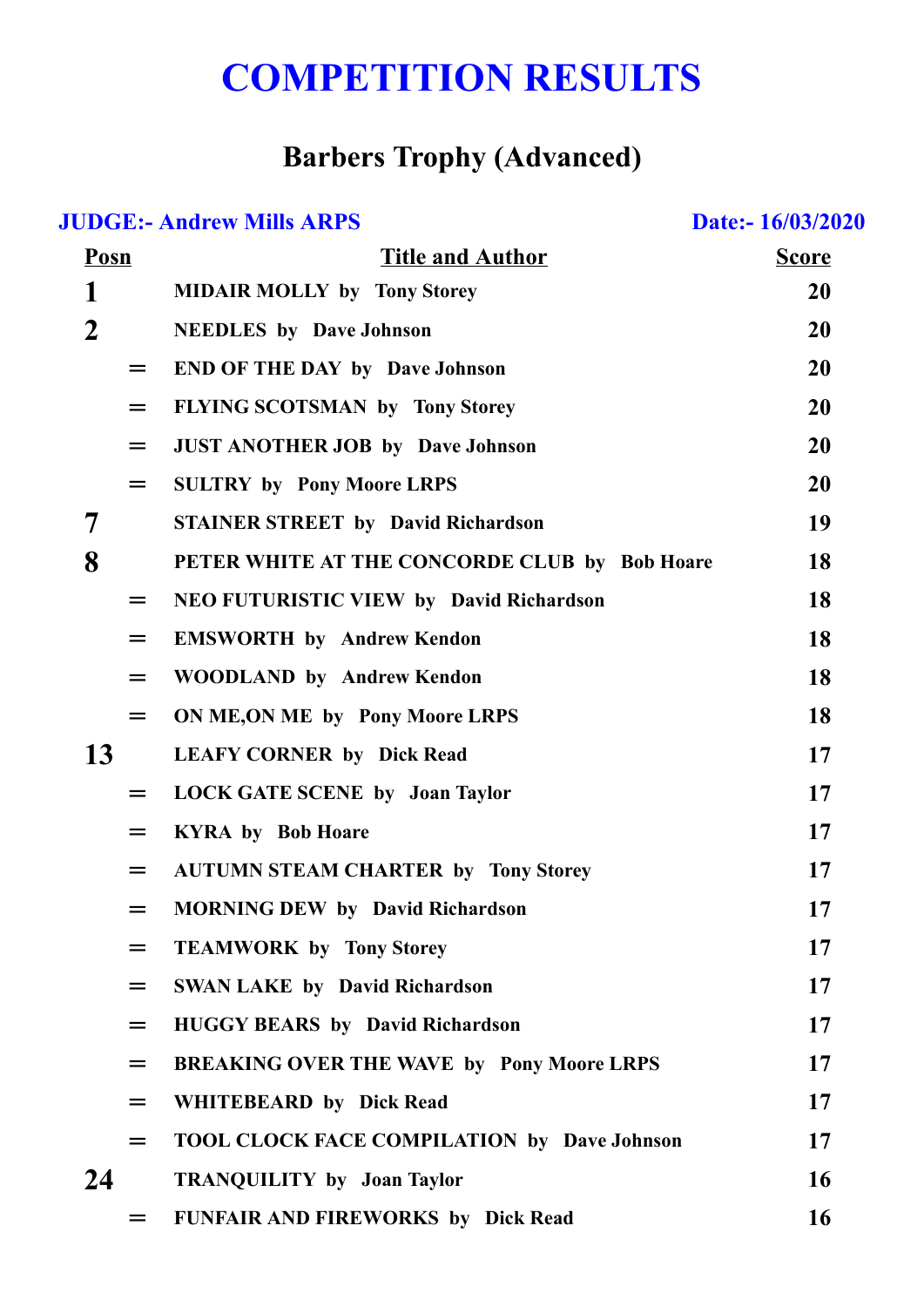## **COMPETITION RESULTS**

## **Barbers Trophy (Advanced)**

| <b>JUDGE:- Andrew Mills ARPS</b><br>Date:-16/03/2020 |     |                                                    |              |  |
|------------------------------------------------------|-----|----------------------------------------------------|--------------|--|
| <b>Posn</b>                                          |     | <b>Title and Author</b>                            | <b>Score</b> |  |
| 1                                                    |     | <b>MIDAIR MOLLY by Tony Storey</b>                 | <b>20</b>    |  |
| $\mathbf 2$                                          |     | <b>NEEDLES</b> by Dave Johnson                     | <b>20</b>    |  |
|                                                      | $=$ | <b>END OF THE DAY by Dave Johnson</b>              | 20           |  |
|                                                      | $=$ | FLYING SCOTSMAN by Tony Storey                     | 20           |  |
|                                                      | $=$ | <b>JUST ANOTHER JOB by Dave Johnson</b>            | 20           |  |
|                                                      | $=$ | <b>SULTRY by Pony Moore LRPS</b>                   | 20           |  |
| 7                                                    |     | <b>STAINER STREET by David Richardson</b>          | 19           |  |
| 8                                                    |     | PETER WHITE AT THE CONCORDE CLUB by Bob Hoare      | 18           |  |
|                                                      | $=$ | <b>NEO FUTURISTIC VIEW by David Richardson</b>     | 18           |  |
|                                                      | $=$ | <b>EMSWORTH by Andrew Kendon</b>                   | 18           |  |
|                                                      | $=$ | <b>WOODLAND by Andrew Kendon</b>                   | 18           |  |
|                                                      | $=$ | ON ME, ON ME by Pony Moore LRPS                    | <b>18</b>    |  |
| 13                                                   |     | <b>LEAFY CORNER by Dick Read</b>                   | 17           |  |
|                                                      | $=$ | <b>LOCK GATE SCENE by Joan Taylor</b>              | 17           |  |
|                                                      | $=$ | <b>KYRA by Bob Hoare</b>                           | 17           |  |
|                                                      |     | <b>AUTUMN STEAM CHARTER by Tony Storey</b>         | 17           |  |
|                                                      | $=$ | <b>MORNING DEW by David Richardson</b>             | 17           |  |
|                                                      | $=$ | <b>TEAMWORK by Tony Storey</b>                     | 17           |  |
|                                                      | $=$ | <b>SWAN LAKE by David Richardson</b>               | 17           |  |
|                                                      | $=$ | <b>HUGGY BEARS</b> by David Richardson             | 17           |  |
|                                                      | $=$ | <b>BREAKING OVER THE WAVE by Pony Moore LRPS</b>   | <b>17</b>    |  |
|                                                      | $=$ | <b>WHITEBEARD</b> by Dick Read                     | 17           |  |
|                                                      | $=$ | <b>TOOL CLOCK FACE COMPILATION by Dave Johnson</b> | 17           |  |
| 24                                                   |     | <b>TRANQUILITY by Joan Taylor</b>                  | <b>16</b>    |  |
|                                                      |     | <b>FUNFAIR AND FIREWORKS by Dick Read</b>          | <b>16</b>    |  |